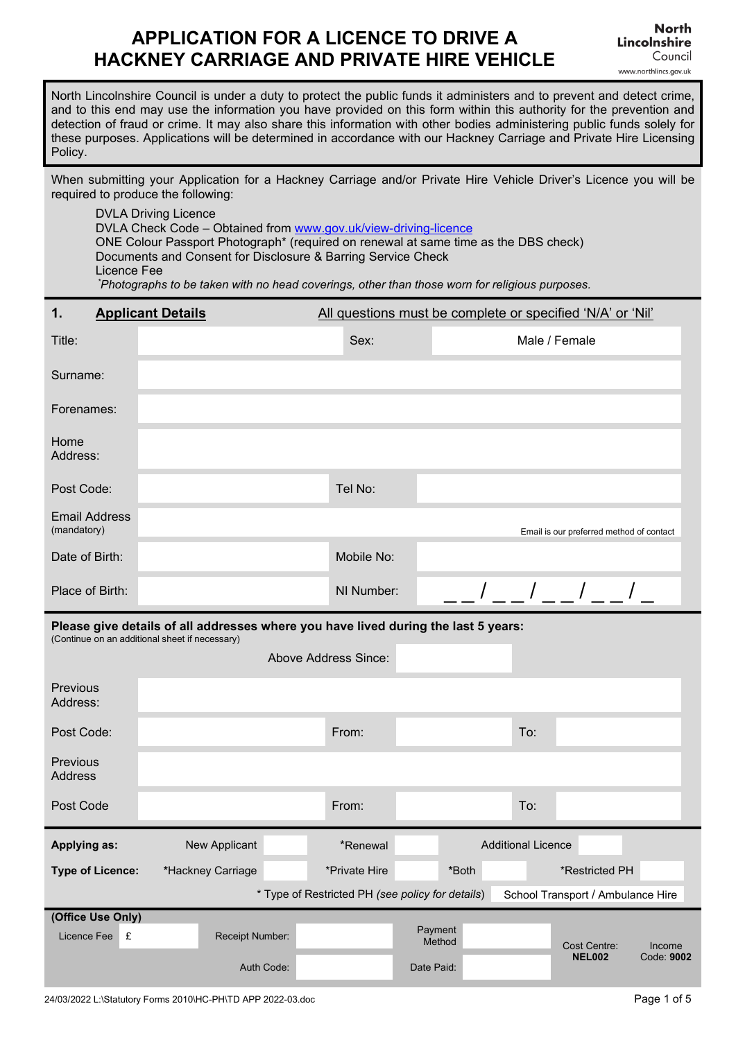# **APPLICATION FOR A LICENCE TO DRIVE A HACKNEY CARRIAGE AND PRIVATE HIRE VEHICLE**

North Lincolnshire Council is under a duty to protect the public funds it administers and to prevent and detect crime, and to this end may use the information you have provided on this form within this authority for the prevention and detection of fraud or crime. It may also share this information with other bodies administering public funds solely for these purposes. Applications will be determined in accordance with our Hackney Carriage and Private Hire Licensing Policy.

When submitting your Application for a Hackney Carriage and/or Private Hire Vehicle Driver's Licence you will be required to produce the following:

DVLA Driving Licence DVLA Check Code – Obtained from [www.gov.uk/view-driving-licence](http://www.gov.uk/view-driving-licence) ONE Colour Passport Photograph\* (required on renewal at same time as the DBS check) Documents and Consent for Disclosure & Barring Service Check Licence Fee *\* Photographs to be taken with no head coverings, other than those worn for religious purposes.*

| 1.                                  | <b>Applicant Details</b>                                                                                                             | All questions must be complete or specified 'N/A' or 'Nil' |                                 |                           |                               |                                          |
|-------------------------------------|--------------------------------------------------------------------------------------------------------------------------------------|------------------------------------------------------------|---------------------------------|---------------------------|-------------------------------|------------------------------------------|
| Title:                              |                                                                                                                                      | Sex:                                                       |                                 | Male / Female             |                               |                                          |
| Surname:                            |                                                                                                                                      |                                                            |                                 |                           |                               |                                          |
| Forenames:                          |                                                                                                                                      |                                                            |                                 |                           |                               |                                          |
| Home<br>Address:                    |                                                                                                                                      |                                                            |                                 |                           |                               |                                          |
| Post Code:                          |                                                                                                                                      | Tel No:                                                    |                                 |                           |                               |                                          |
| <b>Email Address</b><br>(mandatory) |                                                                                                                                      |                                                            |                                 |                           |                               | Email is our preferred method of contact |
| Date of Birth:                      |                                                                                                                                      | Mobile No:                                                 |                                 |                           |                               |                                          |
| Place of Birth:                     |                                                                                                                                      | NI Number:                                                 |                                 |                           |                               |                                          |
|                                     | Please give details of all addresses where you have lived during the last 5 years:<br>(Continue on an additional sheet if necessary) |                                                            |                                 |                           |                               |                                          |
|                                     |                                                                                                                                      |                                                            |                                 |                           |                               |                                          |
|                                     |                                                                                                                                      | <b>Above Address Since:</b>                                |                                 |                           |                               |                                          |
| Previous<br>Address:                |                                                                                                                                      |                                                            |                                 |                           |                               |                                          |
| Post Code:                          |                                                                                                                                      | From:                                                      |                                 | To:                       |                               |                                          |
| Previous<br><b>Address</b>          |                                                                                                                                      |                                                            |                                 |                           |                               |                                          |
| Post Code                           |                                                                                                                                      | From:                                                      |                                 | To:                       |                               |                                          |
| <b>Applying as:</b>                 | New Applicant                                                                                                                        | *Renewal                                                   |                                 | <b>Additional Licence</b> |                               |                                          |
| <b>Type of Licence:</b>             | *Hackney Carriage                                                                                                                    | *Private Hire                                              | *Both                           |                           | *Restricted PH                |                                          |
|                                     |                                                                                                                                      | * Type of Restricted PH (see policy for details)           |                                 |                           |                               | School Transport / Ambulance Hire        |
| (Office Use Only)                   |                                                                                                                                      |                                                            |                                 |                           |                               |                                          |
| Licence Fee<br>£                    | Receipt Number:<br>Auth Code:                                                                                                        |                                                            | Payment<br>Method<br>Date Paid: |                           | Cost Centre:<br><b>NEL002</b> | Income<br>Code: 9002                     |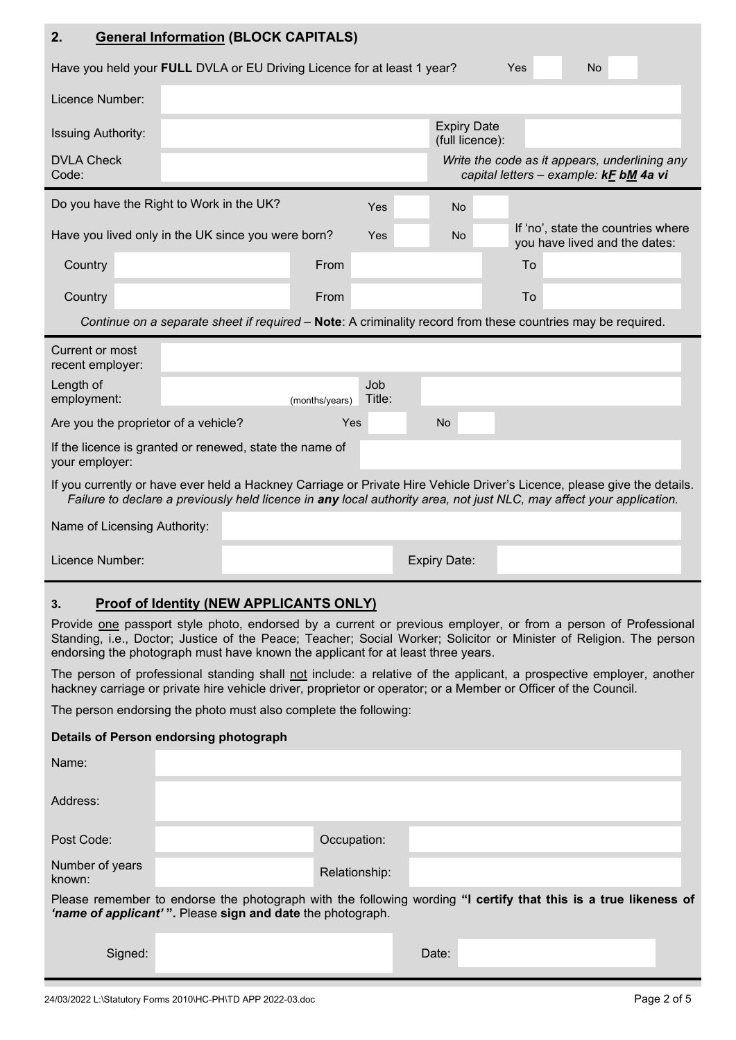| 2.                                                                                                                                                                                                                                                                                                                         | <b>General Information (BLOCK CAPITALS)</b>                                                                                                                                                                                                      |  |  |  |  |
|----------------------------------------------------------------------------------------------------------------------------------------------------------------------------------------------------------------------------------------------------------------------------------------------------------------------------|--------------------------------------------------------------------------------------------------------------------------------------------------------------------------------------------------------------------------------------------------|--|--|--|--|
| Have you held your FULL DVLA or EU Driving Licence for at least 1 year?<br><b>No</b><br>Yes                                                                                                                                                                                                                                |                                                                                                                                                                                                                                                  |  |  |  |  |
| Licence Number:                                                                                                                                                                                                                                                                                                            |                                                                                                                                                                                                                                                  |  |  |  |  |
| <b>Issuing Authority:</b>                                                                                                                                                                                                                                                                                                  | <b>Expiry Date</b><br>(full licence):                                                                                                                                                                                                            |  |  |  |  |
| <b>DVLA Check</b><br>Code:                                                                                                                                                                                                                                                                                                 | Write the code as it appears, underlining any<br>capital letters - example: kF bM 4a vi                                                                                                                                                          |  |  |  |  |
|                                                                                                                                                                                                                                                                                                                            | Do you have the Right to Work in the UK?<br>Yes<br><b>No</b>                                                                                                                                                                                     |  |  |  |  |
|                                                                                                                                                                                                                                                                                                                            | If 'no', state the countries where<br>Have you lived only in the UK since you were born?<br>N <sub>o</sub><br>Yes<br>you have lived and the dates:                                                                                               |  |  |  |  |
| Country                                                                                                                                                                                                                                                                                                                    | From<br>To                                                                                                                                                                                                                                       |  |  |  |  |
| Country                                                                                                                                                                                                                                                                                                                    | To<br>From                                                                                                                                                                                                                                       |  |  |  |  |
|                                                                                                                                                                                                                                                                                                                            | Continue on a separate sheet if required - Note: A criminality record from these countries may be required.                                                                                                                                      |  |  |  |  |
| Current or most<br>recent employer:                                                                                                                                                                                                                                                                                        |                                                                                                                                                                                                                                                  |  |  |  |  |
| Length of<br>employment:                                                                                                                                                                                                                                                                                                   | Job<br>Title:<br>(months/years)                                                                                                                                                                                                                  |  |  |  |  |
| Are you the proprietor of a vehicle?                                                                                                                                                                                                                                                                                       | <b>No</b><br>Yes                                                                                                                                                                                                                                 |  |  |  |  |
| your employer:                                                                                                                                                                                                                                                                                                             | If the licence is granted or renewed, state the name of                                                                                                                                                                                          |  |  |  |  |
|                                                                                                                                                                                                                                                                                                                            | If you currently or have ever held a Hackney Carriage or Private Hire Vehicle Driver's Licence, please give the details.<br>Failure to declare a previously held licence in any local authority area, not just NLC, may affect your application. |  |  |  |  |
| Name of Licensing Authority:                                                                                                                                                                                                                                                                                               |                                                                                                                                                                                                                                                  |  |  |  |  |
| Licence Number:                                                                                                                                                                                                                                                                                                            | <b>Expiry Date:</b>                                                                                                                                                                                                                              |  |  |  |  |
| Proof of Identity (NEW APPLICANTS ONLY)<br>3.<br>Provide one passport style photo, endorsed by a current or previous employer, or from a person of Professional<br>Standing, i.e., Doctor; Justice of the Peace; Teacher; Social Worker; Solicitor or Minister of Religion. The person                                     |                                                                                                                                                                                                                                                  |  |  |  |  |
| endorsing the photograph must have known the applicant for at least three years.<br>The person of professional standing shall not include: a relative of the applicant, a prospective employer, another<br>hackney carriage or private hire vehicle driver, proprietor or operator; or a Member or Officer of the Council. |                                                                                                                                                                                                                                                  |  |  |  |  |
| The person endorsing the photo must also complete the following:                                                                                                                                                                                                                                                           |                                                                                                                                                                                                                                                  |  |  |  |  |
| Details of Person endorsing photograph                                                                                                                                                                                                                                                                                     |                                                                                                                                                                                                                                                  |  |  |  |  |
| Name:                                                                                                                                                                                                                                                                                                                      |                                                                                                                                                                                                                                                  |  |  |  |  |
| Address:                                                                                                                                                                                                                                                                                                                   |                                                                                                                                                                                                                                                  |  |  |  |  |
| Post Code:                                                                                                                                                                                                                                                                                                                 | Occupation:                                                                                                                                                                                                                                      |  |  |  |  |
| Number of years<br>known:                                                                                                                                                                                                                                                                                                  | Relationship:                                                                                                                                                                                                                                    |  |  |  |  |
| Please remember to endorse the photograph with the following wording "I certify that this is a true likeness of<br>'name of applicant'". Please sign and date the photograph.                                                                                                                                              |                                                                                                                                                                                                                                                  |  |  |  |  |
|                                                                                                                                                                                                                                                                                                                            |                                                                                                                                                                                                                                                  |  |  |  |  |

Signed: **Date:** Date: **Date:** Date: **Date:** Propose of Propose of Propose of Propose of Propose of Propose of Propose of Propose of Propose of Propose of Propose of Propose of Propose of Propose of Propose of Propose of Pr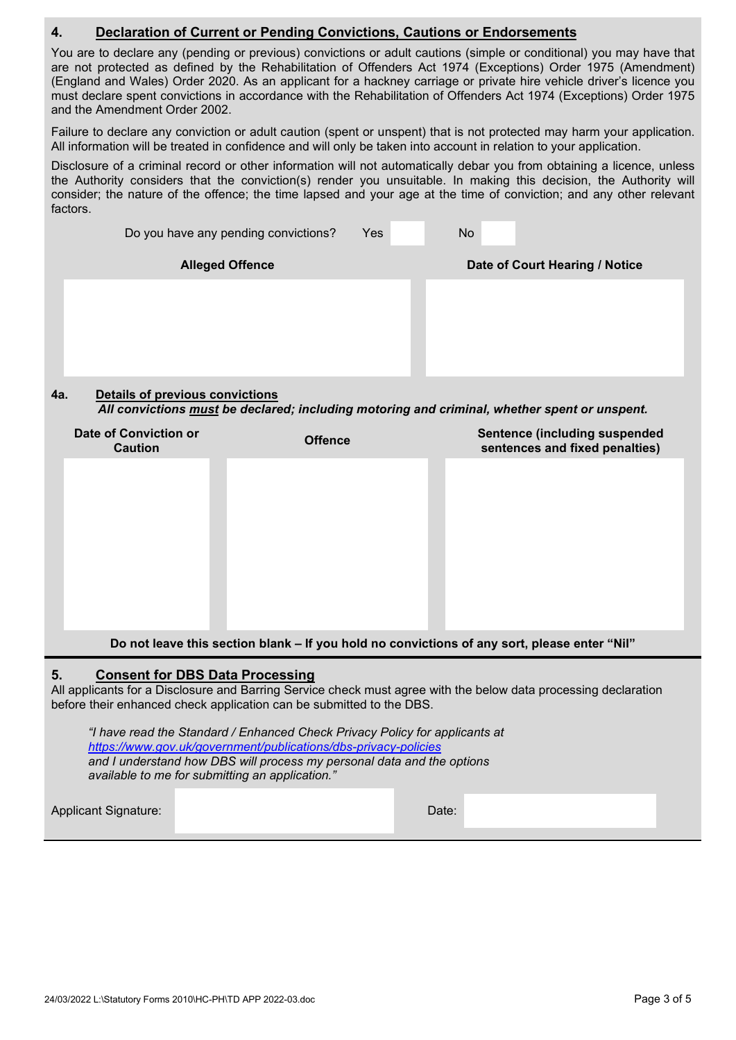## **4. Declaration of Current or Pending Convictions, Cautions or Endorsements**

You are to declare any (pending or previous) convictions or adult cautions (simple or conditional) you may have that are not protected as defined by the Rehabilitation of Offenders Act 1974 (Exceptions) Order 1975 (Amendment) (England and Wales) Order 2020. As an applicant for a hackney carriage or private hire vehicle driver's licence you must declare spent convictions in accordance with the Rehabilitation of Offenders Act 1974 (Exceptions) Order 1975 and the Amendment Order 2002.

Failure to declare any conviction or adult caution (spent or unspent) that is not protected may harm your application. All information will be treated in confidence and will only be taken into account in relation to your application.

Disclosure of a criminal record or other information will not automatically debar you from obtaining a licence, unless the Authority considers that the conviction(s) render you unsuitable. In making this decision, the Authority will consider; the nature of the offence; the time lapsed and your age at the time of conviction; and any other relevant factors.

|     | Do you have any pending convictions?   | <b>Yes</b> | <b>No</b> |                                |  |  |
|-----|----------------------------------------|------------|-----------|--------------------------------|--|--|
|     | <b>Alleged Offence</b>                 |            |           | Date of Court Hearing / Notice |  |  |
|     |                                        |            |           |                                |  |  |
|     |                                        |            |           |                                |  |  |
|     |                                        |            |           |                                |  |  |
|     |                                        |            |           |                                |  |  |
| 4a. | <b>Details of previous convictions</b> |            |           |                                |  |  |

*All convictions must be declared; including motoring and criminal, whether spent or unspent.*

| Date of Conviction or<br><b>Caution</b>                                                      | <b>Offence</b> | <b>Sentence (including suspended</b><br>sentences and fixed penalties) |  |  |
|----------------------------------------------------------------------------------------------|----------------|------------------------------------------------------------------------|--|--|
|                                                                                              |                |                                                                        |  |  |
|                                                                                              |                |                                                                        |  |  |
|                                                                                              |                |                                                                        |  |  |
|                                                                                              |                |                                                                        |  |  |
|                                                                                              |                |                                                                        |  |  |
| Do not leave this section blank – If you hold no convictions of any sort, please enter "Nil" |                |                                                                        |  |  |

#### **5. Consent for DBS Data Processing**

All applicants for a Disclosure and Barring Service check must agree with the below data processing declaration before their enhanced check application can be submitted to the DBS.

*"I have read the Standard / Enhanced Check Privacy Policy for applicants at <https://www.gov.uk/government/publications/dbs-privacy-policies> and I understand how DBS will process my personal data and the options available to me for submitting an application."*

Applicant Signature: Date: Date: Date: Date: Date: Date: Date: Date: Date: Date: Date: Date: Date: Date: Date: Date: Date: Date: Date: Date: Date: Date: Date: Date: Date: Date: Date: Date: Date: Date: Date: Date: Date: Dat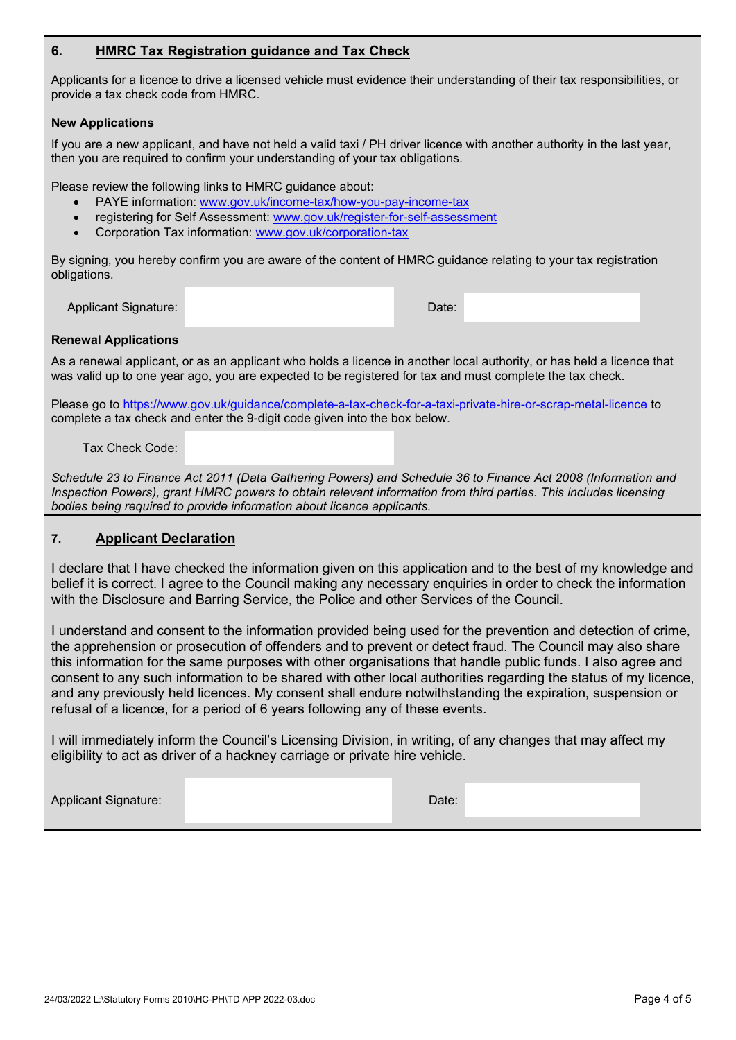### **6. HMRC Tax Registration guidance and Tax Check**

Applicants for a licence to drive a licensed vehicle must evidence their understanding of their tax responsibilities, or provide a tax check code from HMRC.

#### **New Applications**

If you are a new applicant, and have not held a valid taxi / PH driver licence with another authority in the last year, then you are required to confirm your understanding of your tax obligations.

Please review the following links to HMRC guidance about:

- PAYE information: [www.gov.uk/income-tax/how-you-pay-income-tax](http://www.gov.uk/income-tax/how-you-pay-income-tax)
- registering for Self Assessment: [www.gov.uk/register-for-self-assessment](http://www.gov.uk/register-for-self-assessment)
- Corporation Tax information: [www.gov.uk/corporation-tax](http://www.gov.uk/corporation-tax)

By signing, you hereby confirm you are aware of the content of HMRC guidance relating to your tax registration obligations.

Applicant Signature: Date: Date: Date: Date: Date: Date: Date: Date: Date: Date: Date: Date: Date: Date: Date: Date: Date: Date: Date: Date: Date: Date: Date: Date: Date: Date: Date: Date: Date: Date: Date: Date: Date: Dat

#### **Renewal Applications**

As a renewal applicant, or as an applicant who holds a licence in another local authority, or has held a licence that was valid up to one year ago, you are expected to be registered for tax and must complete the tax check.

Please go to<https://www.gov.uk/guidance/complete-a-tax-check-for-a-taxi-private-hire-or-scrap-metal-licence> to complete a tax check and enter the 9-digit code given into the box below.

Tax Check Code:

*Schedule 23 to Finance Act 2011 (Data Gathering Powers) and Schedule 36 to Finance Act 2008 (Information and Inspection Powers), grant HMRC powers to obtain relevant information from third parties. This includes licensing bodies being required to provide information about licence applicants.*

#### **7. Applicant Declaration**

I declare that I have checked the information given on this application and to the best of my knowledge and belief it is correct. I agree to the Council making any necessary enquiries in order to check the information with the Disclosure and Barring Service, the Police and other Services of the Council.

I understand and consent to the information provided being used for the prevention and detection of crime, the apprehension or prosecution of offenders and to prevent or detect fraud. The Council may also share this information for the same purposes with other organisations that handle public funds. I also agree and consent to any such information to be shared with other local authorities regarding the status of my licence, and any previously held licences. My consent shall endure notwithstanding the expiration, suspension or refusal of a licence, for a period of 6 years following any of these events.

I will immediately inform the Council's Licensing Division, in writing, of any changes that may affect my eligibility to act as driver of a hackney carriage or private hire vehicle.

Applicant Signature: Date: Date: Date: Date: Date: Date: Date: Date: Date: Date: Date: Date: Date: Date: Date: Date: Date: Date: Date: Date: Date: Date: Date: Date: Date: Date: Date: Date: Date: Date: Date: Date: Date: Dat